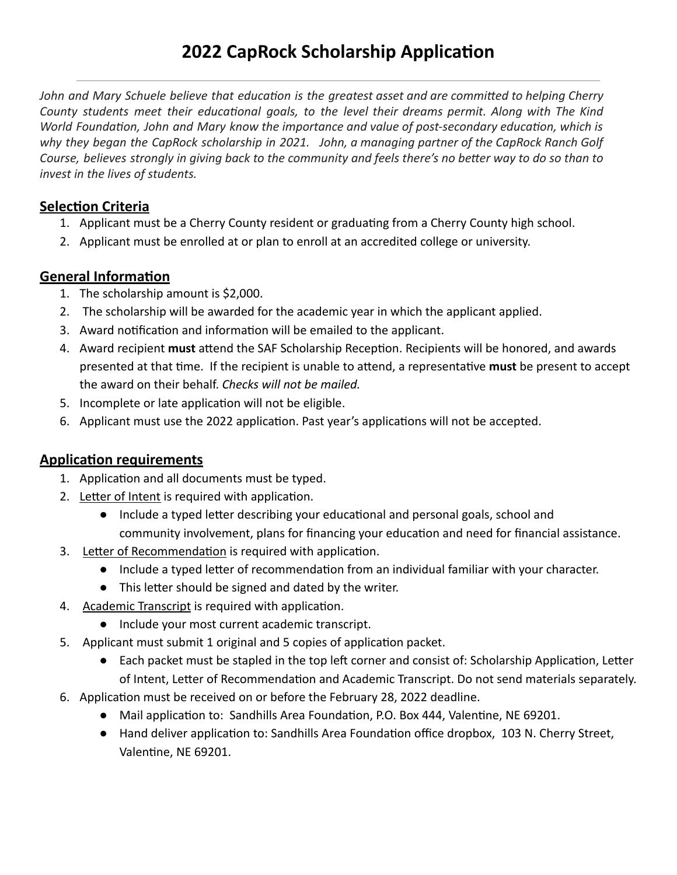*John and Mary Schuele believe that education is the greatest asset and are committed to helping Cherry County students meet their educational goals, to the level their dreams permit. Along with The Kind World Foundation, John and Mary know the importance and value of post-secondary education, which is why they began the CapRock scholarship in 2021. John, a managing partner of the CapRock Ranch Golf Course, believes strongly in giving back to the community and feels there's no better way to do so than to invest in the lives of students.* 

#### **Selection Criteria**

- 1. Applicant must be a Cherry County resident or graduating from a Cherry County high school.
- 2. Applicant must be enrolled at or plan to enroll at an accredited college or university.

#### **General Information**

- 1. The scholarship amount is \$2,000.
- 2. The scholarship will be awarded for the academic year in which the applicant applied.
- 3. Award notification and information will be emailed to the applicant.
- 4. Award recipient must attend the SAF Scholarship Reception. Recipients will be honored, and awards presented at that time. If the recipient is unable to attend, a representative must be present to accept the award on their behalf. *Checks will not be mailed.*
- 5. Incomplete or late application will not be eligible.
- 6. Applicant must use the 2022 application. Past year's applications will not be accepted.

### **Application requirements**

- 1. Application and all documents must be typed.
- 2. Letter of Intent is required with application.
	- Include a typed letter describing your educational and personal goals, school and community involvement, plans for financing your education and need for financial assistance.
- 3. Letter of Recommendation is required with application.
	- Include a typed letter of recommendation from an individual familiar with your character.
	- This letter should be signed and dated by the writer.
- 4. Academic Transcript is required with application.
	- Include your most current academic transcript.
- 5. Applicant must submit 1 original and 5 copies of application packet.
	- Each packet must be stapled in the top left corner and consist of: Scholarship Application, Letter of Intent, Letter of Recommendation and Academic Transcript. Do not send materials separately.
- 6. Application must be received on or before the February 28, 2022 deadline.
	- Mail application to: Sandhills Area Foundation, P.O. Box 444, Valentine, NE 69201.
	- Hand deliver application to: Sandhills Area Foundation office dropbox, 103 N. Cherry Street, Valentine, NE 69201.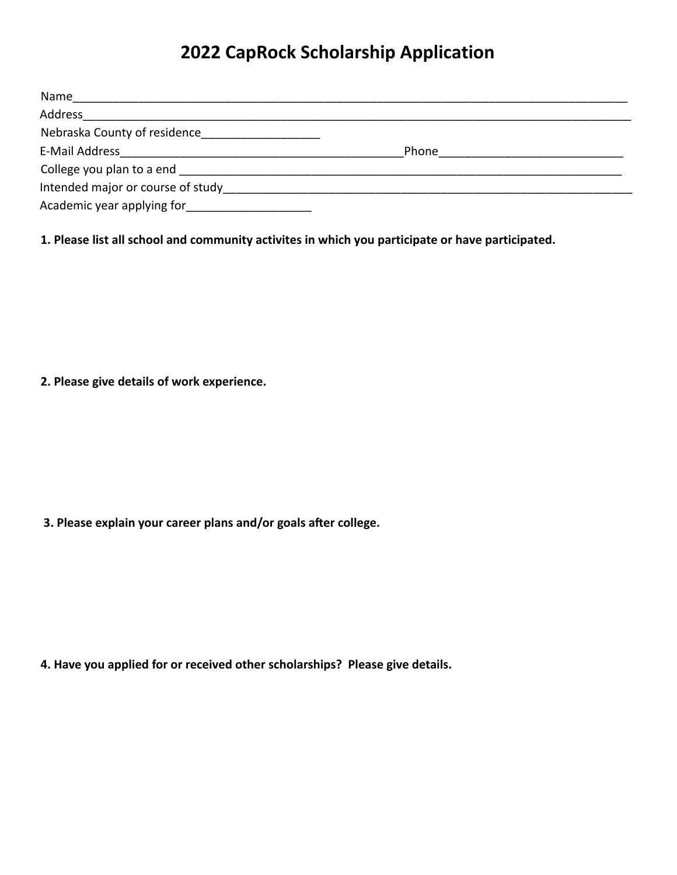## **2022 CapRock Scholarship Application**

| Name                              |       |  |
|-----------------------------------|-------|--|
| Address                           |       |  |
| Nebraska County of residence      |       |  |
| E-Mail Address                    | Phone |  |
| College you plan to a end         |       |  |
| Intended major or course of study |       |  |
| Academic year applying for        |       |  |

**1. Please list all school and community activites in which you participate or have participated.**

**2. Please give details of work experience.**

**3. Please explain your career plans and/or goals after college.** 

**4. Have you applied for or received other scholarships? Please give details.**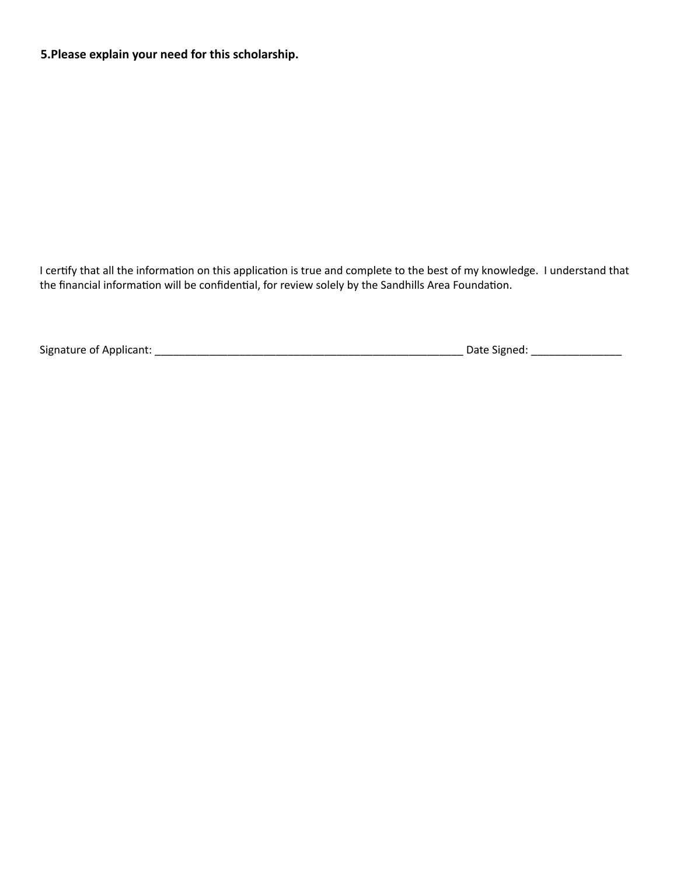**5.Please explain your need for this scholarship.** 

I certify that all the information on this application is true and complete to the best of my knowledge. I understand that the financial information will be confidential, for review solely by the Sandhills Area Foundation.

Signature of Applicant: \_\_\_\_\_\_\_\_\_\_\_\_\_\_\_\_\_\_\_\_\_\_\_\_\_\_\_\_\_\_\_\_\_\_\_\_\_\_\_\_\_\_\_\_\_\_\_\_\_\_\_ Date Signed: \_\_\_\_\_\_\_\_\_\_\_\_\_\_\_